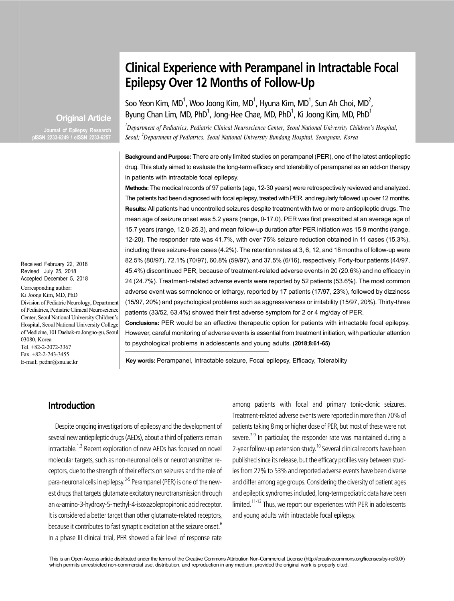# **Clinical Experience with Perampanel in Intractable Focal Epilepsy Over 12 Months of Follow-Up**

Soo Yeon Kim, MD<sup>1</sup>, Woo Joong Kim, MD<sup>1</sup>, Hyuna Kim, MD<sup>1</sup>, Sun Ah Choi, MD<sup>2</sup>, Byung Chan Lim, MD, PhD<sup>1</sup>, Jong-Hee Chae, MD, PhD<sup>1</sup>, Ki Joong Kim, MD, PhD<sup>1</sup>

*1 Department of Pediatrics, Pediatric Clinical Neuroscience Center, Seoul National University Children's Hospital, Seoul; <sup>2</sup> Department of Pediatrics, Seoul National University Bundang Hospital, Seongnam, Korea*

**Background and Purpose:** There are only limited studies on perampanel (PER), one of the latest antiepileptic drug. This study aimed to evaluate the long-term efficacy and tolerability of perampanel as an add-on therapy in patients with intractable focal epilepsy.

**Methods:** The medical records of 97 patients (age, 12-30 years) were retrospectively reviewed and analyzed. The patients had been diagnosed with focal epilepsy, treated with PER, and regularly followed up over 12 months. **Results:** All patients had uncontrolled seizures despite treatment with two or more antiepileptic drugs. The mean age of seizure onset was 5.2 years (range, 0-17.0). PER was first prescribed at an average age of 15.7 years (range, 12.0-25.3), and mean follow-up duration after PER initiation was 15.9 months (range, 12-20). The responder rate was 41.7%, with over 75% seizure reduction obtained in 11 cases (15.3%), including three seizure-free cases (4.2%). The retention rates at 3, 6, 12, and 18 months of follow-up were 82.5% (80/97), 72.1% (70/97), 60.8% (59/97), and 37.5% (6/16), respectively. Forty-four patients (44/97, 45.4%) discontinued PER, because of treatment-related adverse events in 20 (20.6%) and no efficacy in 24 (24.7%). Treatment-related adverse events were reported by 52 patients (53.6%). The most common adverse event was somnolence or lethargy, reported by 17 patients (17/97, 23%), followed by dizziness (15/97, 20%) and psychological problems such as aggressiveness or irritability (15/97, 20%). Thirty-three patients (33/52, 63.4%) showed their first adverse symptom for 2 or 4 mg/day of PER.

**Conclusions:** PER would be an effective therapeutic option for patients with intractable focal epilepsy. However, careful monitoring of adverse events is essential from treatment initiation, with particular attention

**Key words:** Perampanel, Intractable seizure, Focal epilepsy, Efficacy, Tolerability

## **Introduction**

Despite ongoing investigations of epilepsy and the development of several new antiepileptic drugs (AEDs), about a third of patients remain intractable.<sup>1,2</sup> Recent exploration of new AEDs has focused on novel molecular targets, such as non-neuronal cells or neurotransmitter receptors, due to the strength of their effects on seizures and the role of para-neuronal cells in epilepsy.<sup>3-5</sup> Perampanel (PER) is one of the newest drugs that targets glutamate excitatory neurotransmission through an  $\alpha$ -amino-3-hydroxy-5-methyl-4-isoxazolepropinonic acid receptor. It is considered a better target than other glutamate-related receptors, because it contributes to fast synaptic excitation at the seizure onset.<sup>6</sup> In a phase III clinical trial, PER showed a fair level of response rate among patients with focal and primary tonic-clonic seizures. Treatment-related adverse events were reported in more than 70% of patients taking 8 mg or higher dose of PER, but most of these were not severe.<sup> $7-9$ </sup> In particular, the responder rate was maintained during a 2-year follow-up extension study.<sup>10</sup> Several clinical reports have been published since its release, but the efficacy profiles vary between studies from 27% to 53% and reported adverse events have been diverse and differ among age groups. Considering the diversity of patient ages and epileptic syndromes included, long-term pediatric data have been limited.<sup>11-13</sup> Thus, we report our experiences with PER in adolescents and young adults with intractable focal epilepsy.

to psychological problems in adolescents and young adults. **(2018;8:61-65)**

Received February 22, 2018 Revised July 25, 2018 Accepted December 5, 2018

Corresponding author: Ki Joong Kim, MD, PhD Division of Pediatric Neurology, Department of Pediatrics, Pediatric Clinical Neuroscience Center, Seoul National University Children's Hospital, Seoul National University College of Medicine, 101 Daehak-ro Jongno-gu, Seoul 03080, Korea Tel. +82-2-2072-3367 Fax. +82-2-743-3455 E-mail; pednr@snu.ac.kr

 **Original Article**

**Journal of Epilepsy Research pISSN 2233-6249 / eISSN 2233-6257**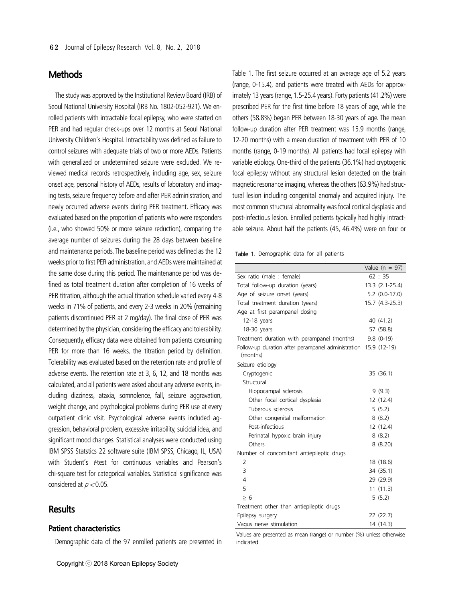## **Methods**

The study was approved by the Institutional Review Board (IRB) of Seoul National University Hospital (IRB No. 1802-052-921). We enrolled patients with intractable focal epilepsy, who were started on PER and had regular check-ups over 12 months at Seoul National University Children's Hospital. Intractability was defined as failure to control seizures with adequate trials of two or more AEDs. Patients with generalized or undetermined seizure were excluded. We reviewed medical records retrospectively, including age, sex, seizure onset age, personal history of AEDs, results of laboratory and imaging tests, seizure frequency before and after PER administration, and newly occurred adverse events during PER treatment. Efficacy was evaluated based on the proportion of patients who were responders (i.e., who showed 50% or more seizure reduction), comparing the average number of seizures during the 28 days between baseline and maintenance periods. The baseline period was defined as the 12 weeks prior to first PER administration, and AEDs were maintained at the same dose during this period. The maintenance period was defined as total treatment duration after completion of 16 weeks of PER titration, although the actual titration schedule varied every 4-8 weeks in 71% of patients, and every 2-3 weeks in 20% (remaining patients discontinued PER at 2 mg/day). The final dose of PER was determined by the physician, considering the efficacy and tolerability. Consequently, efficacy data were obtained from patients consuming PER for more than 16 weeks, the titration period by definition. Tolerability was evaluated based on the retention rate and profile of adverse events. The retention rate at 3, 6, 12, and 18 months was calculated, and all patients were asked about any adverse events, including dizziness, ataxia, somnolence, fall, seizure aggravation, weight change, and psychological problems during PER use at every outpatient clinic visit. Psychological adverse events included aggression, behavioral problem, excessive irritability, suicidal idea, and significant mood changes. Statistical analyses were conducted using IBM SPSS Statstics 22 software suite (IBM SPSS, Chicago, IL, USA) with Student's *t*-test for continuous variables and Pearson's chi-square test for categorical variables. Statistical significance was considered at  $p < 0.05$ .

## **Results**

### **Patient characteristics**

Demographic data of the 97 enrolled patients are presented in

Table 1. The first seizure occurred at an average age of 5.2 years (range, 0-15.4), and patients were treated with AEDs for approximately 13 years (range, 1.5-25.4 years). Forty patients (41.2%) were prescribed PER for the first time before 18 years of age, while the others (58.8%) began PER between 18-30 years of age. The mean follow-up duration after PER treatment was 15.9 months (range, 12-20 months) with a mean duration of treatment with PER of 10 months (range, 0-19 months). All patients had focal epilepsy with variable etiology. One-third of the patients (36.1%) had cryptogenic focal epilepsy without any structural lesion detected on the brain magnetic resonance imaging, whereas the others (63.9%) had structural lesion including congenital anomaly and acquired injury. The most common structural abnormality was focal cortical dysplasia and post-infectious lesion. Enrolled patients typically had highly intractable seizure. About half the patients (45, 46.4%) were on four or

Table 1. Demographic data for all patients

|                                                                             | Value ( $n = 97$ ) |
|-----------------------------------------------------------------------------|--------------------|
| Sex ratio (male: female)                                                    | 62 : 35            |
| Total follow-up duration (years)                                            | 13.3 (2.1-25.4)    |
| Age of seizure onset (years)                                                | $5.2$ (0.0-17.0)   |
| Total treatment duration (years)                                            | 15.7 (4.3-25.3)    |
| Age at first perampanel dosing                                              |                    |
| 12-18 years                                                                 | 40 (41.2)          |
| 18-30 years                                                                 | 57 (58.8)          |
| Treatment duration with perampanel (months)                                 | $9.8(0-19)$        |
| Follow-up duration after perampanel administration 15.9 (12-19)<br>(months) |                    |
| Seizure etiology                                                            |                    |
| Cryptogenic                                                                 | 35 (36.1)          |
| Structural                                                                  |                    |
| Hippocampal sclerosis                                                       | 9(9.3)             |
| Other focal cortical dysplasia                                              | 12 (12.4)          |
| Tuberous sclerosis                                                          | 5(5.2)             |
| Other congenital malformation                                               | 8(8.2)             |
| Post-infectious                                                             | 12 (12.4)          |
| Perinatal hypoxic brain injury                                              | 8(8.2)             |
| Others                                                                      | 8(8.20)            |
| Number of concomitant antiepileptic drugs                                   |                    |
| $\overline{2}$                                                              | 18 (18.6)          |
| 3                                                                           | 34 (35.1)          |
| $\overline{4}$                                                              | 29 (29.9)          |
| 5                                                                           | 11(11.3)           |
| > 6                                                                         | 5(5.2)             |
| Treatment other than antiepileptic drugs                                    |                    |
| Epilepsy surgery                                                            | 22 (22.7)          |
| Vagus nerve stimulation                                                     | 14 (14.3)          |

Values are presented as mean (range) or number (%) unless otherwise indicated.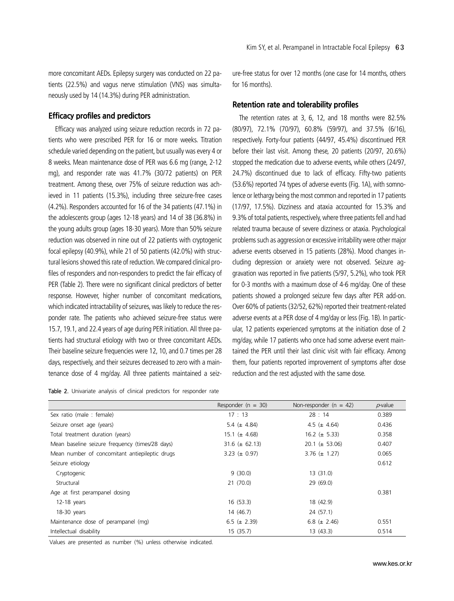more concomitant AEDs. Epilepsy surgery was conducted on 22 patients (22.5%) and vagus nerve stimulation (VNS) was simultaneously used by 14 (14.3%) during PER administration.

### **Efficacy profiles and predictors**

Efficacy was analyzed using seizure reduction records in 72 patients who were prescribed PER for 16 or more weeks. Titration schedule varied depending on the patient, but usually was every 4 or 8 weeks. Mean maintenance dose of PER was 6.6 mg (range, 2-12 mg), and responder rate was 41.7% (30/72 patients) on PER treatment. Among these, over 75% of seizure reduction was achieved in 11 patients (15.3%), including three seizure-free cases (4.2%). Responders accounted for 16 of the 34 patients (47.1%) in the adolescents group (ages 12-18 years) and 14 of 38 (36.8%) in the young adults group (ages 18-30 years). More than 50% seizure reduction was observed in nine out of 22 patients with cryptogenic focal epilepsy (40.9%), while 21 of 50 patients (42.0%) with structural lesions showed this rate of reduction. We compared clinical profiles of responders and non-responders to predict the fair efficacy of PER (Table 2). There were no significant clinical predictors of better response. However, higher number of concomitant medications, which indicated intractability of seizures, was likely to reduce the responder rate. The patients who achieved seizure-free status were 15.7, 19.1, and 22.4 years of age during PER initiation. All three patients had structural etiology with two or three concomitant AEDs. Their baseline seizure frequencies were 12, 10, and 0.7 times per 28 days, respectively, and their seizures decreased to zero with a maintenance dose of 4 mg/day. All three patients maintained a seiz-

Table 2. Univariate analysis of clinical predictors for responder rate

ure-free status for over 12 months (one case for 14 months, others for 16 months).

#### **Retention rate and tolerability profiles**

The retention rates at 3, 6, 12, and 18 months were 82.5% (80/97), 72.1% (70/97), 60.8% (59/97), and 37.5% (6/16), respectively. Forty-four patients (44/97, 45.4%) discontinued PER before their last visit. Among these, 20 patients (20/97, 20.6%) stopped the medication due to adverse events, while others (24/97, 24.7%) discontinued due to lack of efficacy. Fifty-two patients (53.6%) reported 74 types of adverse events (Fig. 1A), with somnolence or lethargy being the most common and reported in 17 patients (17/97, 17.5%). Dizziness and ataxia accounted for 15.3% and 9.3% of total patients, respectively, where three patients fell and had related trauma because of severe dizziness or ataxia. Psychological problems such as aggression or excessive irritability were other major adverse events observed in 15 patients (28%). Mood changes including depression or anxiety were not observed. Seizure aggravation was reported in five patients (5/97, 5.2%), who took PER for 0-3 months with a maximum dose of 4-6 mg/day. One of these patients showed a prolonged seizure few days after PER add-on. Over 60% of patients (32/52, 62%) reported their treatment-related adverse events at a PER dose of 4 mg/day or less (Fig. 1B). In particular, 12 patients experienced symptoms at the initiation dose of 2 mg/day, while 17 patients who once had some adverse event maintained the PER until their last clinic visit with fair efficacy. Among them, four patients reported improvement of symptoms after dose reduction and the rest adjusted with the same dose.

|                                                 | Responder ( $n = 30$ ) | Non-responder ( $n = 42$ ) | $p$ -value |
|-------------------------------------------------|------------------------|----------------------------|------------|
| Sex ratio (male : female)                       | 17 : 13                | 28:14                      | 0.389      |
| Seizure onset age (years)                       | 5.4 $(\pm 4.84)$       | 4.5 ( $\pm$ 4.64)          | 0.436      |
| Total treatment duration (years)                | 15.1 ( $\pm$ 4.68)     | 16.2 ( $\pm$ 5.33)         | 0.358      |
| Mean baseline seizure frequency (times/28 days) | $31.6 \ (\pm 62.13)$   | 20.1 ( $\pm$ 53.06)        | 0.407      |
| Mean number of concomitant antiepileptic drugs  | 3.23 ( $\pm$ 0.97)     | $3.76 \ (\pm \ 1.27)$      | 0.065      |
| Seizure etiology                                |                        |                            | 0.612      |
| Cryptogenic                                     | 9(30.0)                | 13 (31.0)                  |            |
| Structural                                      | 21(70.0)               | 29 (69.0)                  |            |
| Age at first perampanel dosing                  |                        |                            | 0.381      |
| $12-18$ years                                   | 16(53.3)               | 18 (42.9)                  |            |
| 18-30 years                                     | 14 (46.7)              | 24 (57.1)                  |            |
| Maintenance dose of perampanel (mg)             | 6.5 ( $\pm$ 2.39)      | 6.8 $(\pm 2.46)$           | 0.551      |
| Intellectual disability                         | 15(35.7)               | 13(43.3)                   | 0.514      |

Values are presented as number (%) unless otherwise indicated.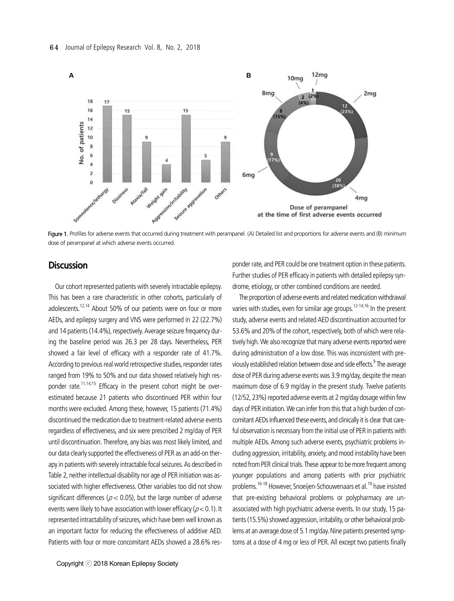

Figure 1. Profiles for adverse events that occurred during treatment with perampanel. (A) Detailed list and proportions for adverse events and (B) minimum dose of perampanel at which adverse events occurred.

## **Discussion**

Our cohort represented patients with severely intractable epilepsy. This has been a rare characteristic in other cohorts, particularly of adolescents.<sup>12,14</sup> About 50% of our patients were on four or more AEDs, and epilepsy surgery and VNS were performed in 22 (22.7%) and 14 patients (14.4%), respectively. Average seizure frequency during the baseline period was 26.3 per 28 days. Nevertheless, PER showed a fair level of efficacy with a responder rate of 41.7%. According to previous real world retrospective studies, responder rates ranged from 19% to 50% and our data showed relatively high responder rate.<sup>11,14,15</sup> Efficacy in the present cohort might be overestimated because 21 patients who discontinued PER within four months were excluded. Among these, however, 15 patients (71.4%) discontinued the medication due to treatment-related adverse events regardless of effectiveness, and six were prescribed 2 mg/day of PER until discontinuation. Therefore, any bias was most likely limited, and our data clearly supported the effectiveness of PER as an add-on therapy in patients with severely intractable focal seizures. As described in Table 2, neither intellectual disability nor age of PER initiation was associated with higher effectiveness. Other variables too did not show significant differences ( $p < 0.05$ ), but the large number of adverse events were likely to have association with lower efficacy ( $p < 0.1$ ). It represented intractability of seizures, which have been well known as an important factor for reducing the effectiveness of additive AED. Patients with four or more concomitant AEDs showed a 28.6% res-

ponder rate, and PER could be one treatment option in these patients. Further studies of PER efficacy in patients with detailed epilepsy syndrome, etiology, or other combined conditions are needed.

The proportion of adverse events and related medication withdrawal varies with studies, even for similar age groups.<sup>12-14,16</sup> In the present study, adverse events and related AED discontinuation accounted for 53.6% and 20% of the cohort, respectively, both of which were relatively high. We also recognize that many adverse events reported were during administration of a low dose. This was inconsistent with previously established relation between dose and side effects.<sup>9</sup> The average dose of PER during adverse events was 3.9 mg/day, despite the mean maximum dose of 6.9 mg/day in the present study. Twelve patients (12/52, 23%) reported adverse events at 2 mg/day dosage within few days of PER initiation. We can infer from this that a high burden of concomitant AEDs influenced these events, and clinically it is clear that careful observation is necessary from the initial use of PER in patients with multiple AEDs. Among such adverse events, psychiatric problems including aggression, irritability, anxiety, and mood instability have been noted from PER clinical trials. These appear to be more frequent among younger populations and among patients with prior psychiatric problems.<sup>16-18</sup> However, Snoeijen-Schouwenaars et al.<sup>19</sup> have insisted that pre-existing behavioral problems or polypharmacy are unassociated with high psychiatric adverse events. In our study, 15 patients (15.5%) showed aggression, irritability, or other behavioral problems at an average dose of 5.1 mg/day. Nine patients presented symptoms at a dose of 4 mg or less of PER. All except two patients finally